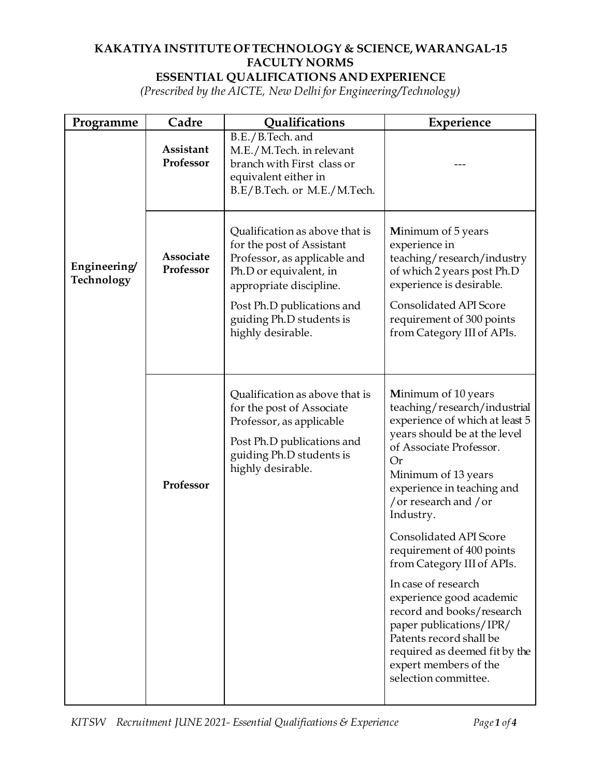## **KAKATIYA INSTITUTE OF TECHNOLOGY & SCIENCE, WARANGAL-15 FACULTY NORMS**

## **ESSENTIAL QUALIFICATIONS AND EXPERIENCE**

*(Prescribed by the AICTE, New Delhi for Engineering/Technology)*

| Programme                 | Cadre                  | Qualifications                                                                                                                                                                                                                  | Experience                                                                                                                                                                                                                                                |
|---------------------------|------------------------|---------------------------------------------------------------------------------------------------------------------------------------------------------------------------------------------------------------------------------|-----------------------------------------------------------------------------------------------------------------------------------------------------------------------------------------------------------------------------------------------------------|
|                           | Assistant<br>Professor | B.E./B.Tech. and<br>M.E./M.Tech. in relevant<br>branch with First class or<br>equivalent either in<br>B.E/B.Tech. or M.E./M.Tech.                                                                                               |                                                                                                                                                                                                                                                           |
| Engineering<br>Technology | Associate<br>Professor | Qualification as above that is<br>for the post of Assistant<br>Professor, as applicable and<br>Ph.D or equivalent, in<br>appropriate discipline.<br>Post Ph.D publications and<br>guiding Ph.D students is<br>highly desirable. | <b>Minimum of 5 years</b><br>experience in<br>teaching/research/industry<br>of which 2 years post Ph.D<br>experience is desirable.<br>Consolidated API Score<br>requirement of 300 points<br>from Category III of APIs.                                   |
|                           | Professor              | Qualification as above that is<br>for the post of Associate<br>Professor, as applicable<br>Post Ph.D publications and<br>guiding Ph.D students is<br>highly desirable.                                                          | Minimum of 10 years<br>teaching/research/industrial<br>experience of which at least 5<br>years should be at the level<br>of Associate Professor.<br><b>Or</b><br>Minimum of 13 years<br>experience in teaching and<br>/ or research and / or<br>Industry. |
|                           |                        |                                                                                                                                                                                                                                 | Consolidated API Score<br>requirement of 400 points<br>from Category III of APIs.                                                                                                                                                                         |
|                           |                        |                                                                                                                                                                                                                                 | In case of research<br>experience good academic<br>record and books/research<br>paper publications/IPR/<br>Patents record shall be<br>required as deemed fit by the<br>expert members of the<br>selection committee.                                      |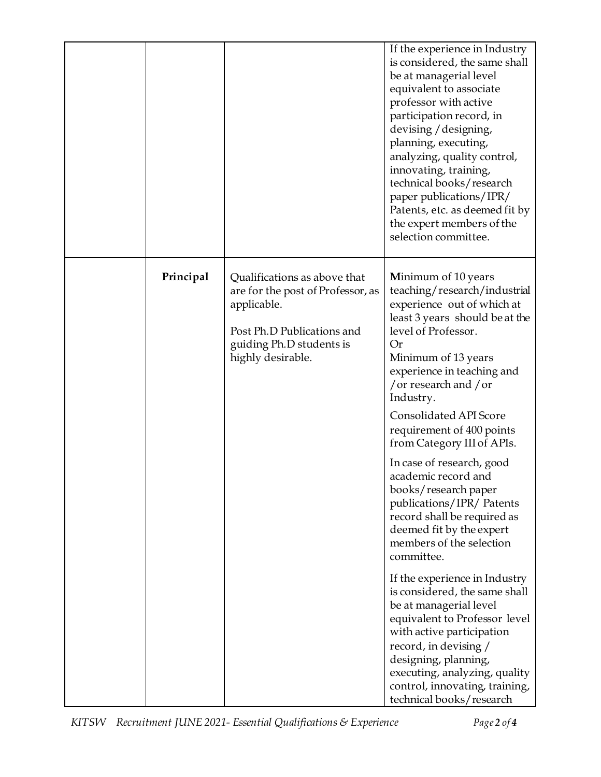|           |                                                                                                                                                                 | If the experience in Industry<br>is considered, the same shall<br>be at managerial level<br>equivalent to associate<br>professor with active<br>participation record, in<br>devising / designing,<br>planning, executing,<br>analyzing, quality control,<br>innovating, training,<br>technical books/research<br>paper publications/IPR/<br>Patents, etc. as deemed fit by<br>the expert members of the<br>selection committee.                                                                                                                               |
|-----------|-----------------------------------------------------------------------------------------------------------------------------------------------------------------|---------------------------------------------------------------------------------------------------------------------------------------------------------------------------------------------------------------------------------------------------------------------------------------------------------------------------------------------------------------------------------------------------------------------------------------------------------------------------------------------------------------------------------------------------------------|
| Principal | Qualifications as above that<br>are for the post of Professor, as<br>applicable.<br>Post Ph.D Publications and<br>guiding Ph.D students is<br>highly desirable. | Minimum of 10 years<br>teaching/research/industrial<br>experience out of which at<br>least 3 years should be at the<br>level of Professor.<br><b>Or</b><br>Minimum of 13 years<br>experience in teaching and<br>/ or research and / or<br>Industry.<br><b>Consolidated API Score</b><br>requirement of 400 points<br>from Category III of APIs.<br>In case of research, good<br>academic record and<br>books/research paper<br>publications/IPR/ Patents<br>record shall be required as<br>deemed fit by the expert<br>members of the selection<br>committee. |
|           |                                                                                                                                                                 | If the experience in Industry<br>is considered, the same shall<br>be at managerial level<br>equivalent to Professor level<br>with active participation<br>record, in devising /<br>designing, planning,<br>executing, analyzing, quality<br>control, innovating, training,<br>technical books/research                                                                                                                                                                                                                                                        |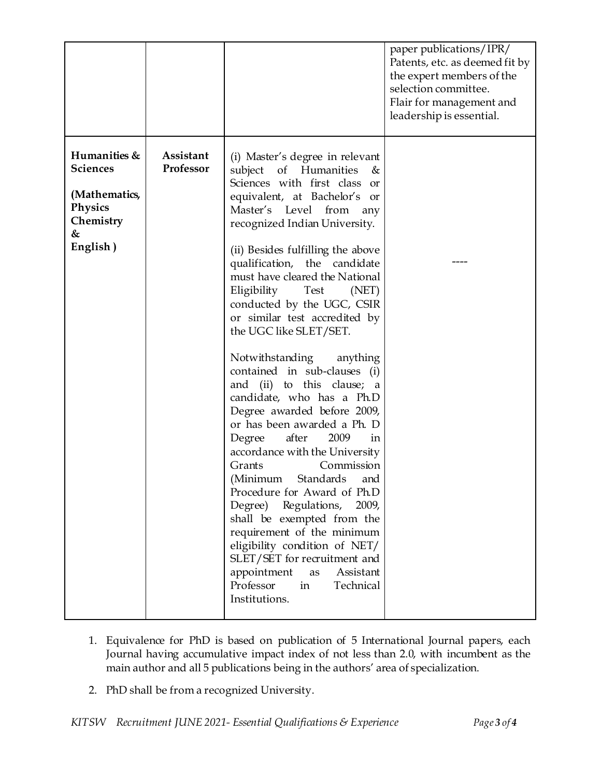|                                                                                                  |                        |                                                                                                                                                                                                                                                                                                                                                                                                                                                                                                                                                                                                                                                                                                                                                                                                                                                                                                                                                                                                                  | paper publications/IPR/<br>Patents, etc. as deemed fit by<br>the expert members of the<br>selection committee.<br>Flair for management and<br>leadership is essential. |
|--------------------------------------------------------------------------------------------------|------------------------|------------------------------------------------------------------------------------------------------------------------------------------------------------------------------------------------------------------------------------------------------------------------------------------------------------------------------------------------------------------------------------------------------------------------------------------------------------------------------------------------------------------------------------------------------------------------------------------------------------------------------------------------------------------------------------------------------------------------------------------------------------------------------------------------------------------------------------------------------------------------------------------------------------------------------------------------------------------------------------------------------------------|------------------------------------------------------------------------------------------------------------------------------------------------------------------------|
| Humanities &<br><b>Sciences</b><br>(Mathematics,<br><b>Physics</b><br>Chemistry<br>&<br>English) | Assistant<br>Professor | (i) Master's degree in relevant<br>subject of Humanities<br>&<br>Sciences with first class or<br>equivalent, at Bachelor's or<br>Master's Level from<br>any<br>recognized Indian University.<br>(ii) Besides fulfilling the above<br>qualification, the candidate<br>must have cleared the National<br>Eligibility Test (NET)<br>conducted by the UGC, CSIR<br>or similar test accredited by<br>the UGC like SLET/SET.<br>Notwithstanding anything<br>contained in sub-clauses (i)<br>and (ii) to this clause; a<br>candidate, who has a Ph.D<br>Degree awarded before 2009,<br>or has been awarded a Ph. D<br>after<br>2009<br>Degree<br>in<br>accordance with the University<br>Grants<br>Commission<br>(Minimum Standards and<br>Procedure for Award of Ph.D<br>Degree) Regulations,<br>2009,<br>shall be exempted from the<br>requirement of the minimum<br>eligibility condition of NET/<br>SLET/SET for recruitment and<br>appointment<br>Assistant<br>as<br>Professor<br>in<br>Technical<br>Institutions. |                                                                                                                                                                        |

- 1. Equivalence for PhD is based on publication of 5 International Journal papers, each Journal having accumulative impact index of not less than 2.0, with incumbent as the main author and all 5 publications being in the authors' area of specialization.
- 2. PhD shall be from a recognized University.